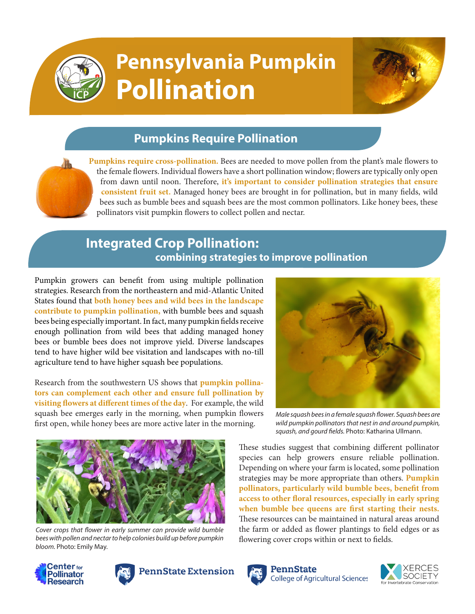

# **Pennsylvania Pumpkin Pollination**



## **Pumpkins Require Pollination**

**Pumpkins require cross-pollination.** Bees are needed to move pollen from the plant's male flowers to the female flowers. Individual flowers have a short pollination window; flowers are typically only open from dawn until noon. Therefore, **it's important to consider pollination strategies that ensure consistent fruit set.** Managed honey bees are brought in for pollination, but in many fields, wild bees such as bumble bees and squash bees are the most common pollinators. Like honey bees, these pollinators visit pumpkin flowers to collect pollen and nectar.

## **Integrated Crop Pollination: combining strategies to improve pollination**

Pumpkin growers can benefit from using multiple pollination strategies. Research from the northeastern and mid-Atlantic United States found that **both honey bees and wild bees in the landscape contribute to pumpkin pollination,** with bumble bees and squash bees being especially important. In fact, many pumpkin fields receive enough pollination from wild bees that adding managed honey bees or bumble bees does not improve yield. Diverse landscapes tend to have higher wild bee visitation and landscapes with no-till agriculture tend to have higher squash bee populations.

Research from the southwestern US shows that **pumpkin pollinators can complement each other and ensure full pollination by visiting flowers at different times of the day**. For example, the wild squash bee emerges early in the morning, when pumpkin flowers first open, while honey bees are more active later in the morning.



*Cover crops that flower in early summer can provide wild bumble bees with pollen and nectar to help colonies build up before pumpkin bloom.* Photo: Emily May.





### **PennState Extension**



*Male squash bees in a female squash flower. Squash bees are wild pumpkin pollinators that nest in and around pumpkin, squash, and gourd fields.* Photo: Katharina Ullmann.

These studies suggest that combining different pollinator species can help growers ensure reliable pollination. Depending on where your farm is located, some pollination strategies may be more appropriate than others. **Pumpkin pollinators, particularly wild bumble bees, benefit from access to other floral resources, especially in early spring when bumble bee queens are first starting their nests.** These resources can be maintained in natural areas around the farm or added as flower plantings to field edges or as flowering cover crops within or next to fields.



PennState **College of Agricultural Sciences**